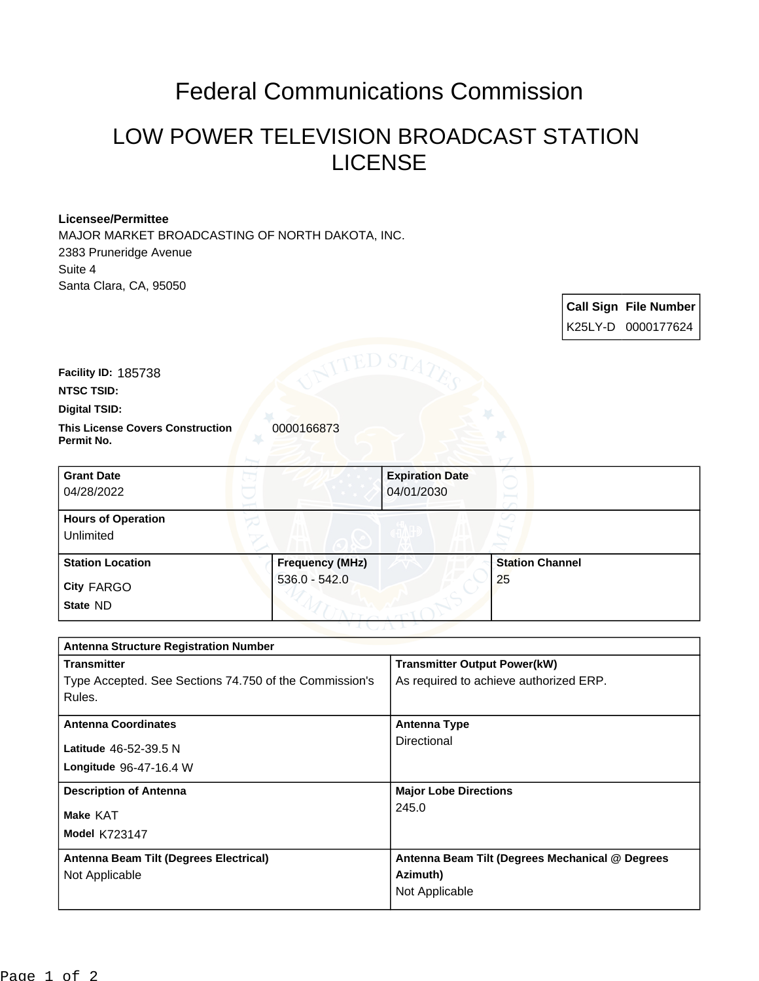## Federal Communications Commission

## LOW POWER TELEVISION BROADCAST STATION LICENSE

**Call Sign File Number**

## **Licensee/Permittee**

MAJOR MARKET BROADCASTING OF NORTH DAKOTA, INC. 2383 Pruneridge Avenue Suite 4 Santa Clara, CA, 95050



| $536.0 - 542.0$   |    |
|-------------------|----|
| <b>City FARGO</b> | 25 |
| State ND          |    |

| <b>Antenna Structure Registration Number</b>           |                                                 |  |
|--------------------------------------------------------|-------------------------------------------------|--|
| <b>Transmitter</b>                                     | <b>Transmitter Output Power(kW)</b>             |  |
| Type Accepted. See Sections 74.750 of the Commission's | As required to achieve authorized ERP.          |  |
| Rules.                                                 |                                                 |  |
| <b>Antenna Coordinates</b>                             | <b>Antenna Type</b>                             |  |
| Latitude 46-52-39.5 N                                  | Directional                                     |  |
| Longitude 96-47-16.4 W                                 |                                                 |  |
| <b>Description of Antenna</b>                          | <b>Major Lobe Directions</b>                    |  |
| Make KAT                                               | 245.0                                           |  |
| <b>Model K723147</b>                                   |                                                 |  |
| Antenna Beam Tilt (Degrees Electrical)                 | Antenna Beam Tilt (Degrees Mechanical @ Degrees |  |
| Not Applicable                                         | Azimuth)                                        |  |
|                                                        | Not Applicable                                  |  |
|                                                        |                                                 |  |